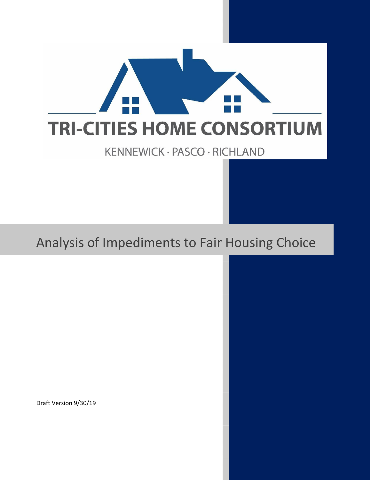

# Analysis of Impediments to Fair Housing Choice

Draft Version 9/30/19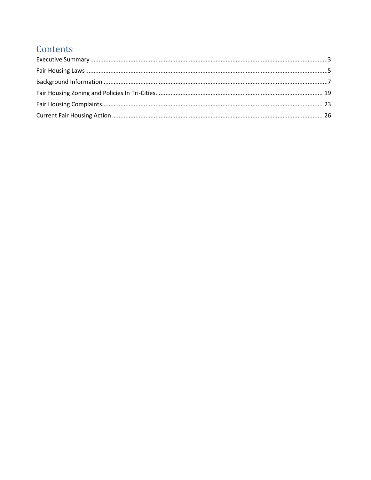# Contents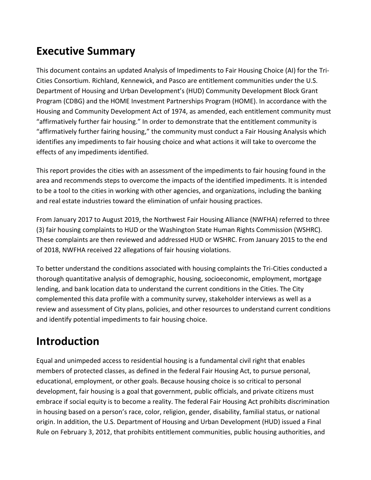# <span id="page-2-0"></span>**Executive Summary**

This document contains an updated Analysis of Impediments to Fair Housing Choice (AI) for the Tri-Cities Consortium. Richland, Kennewick, and Pasco are entitlement communities under the U.S. Department of Housing and Urban Development's (HUD) Community Development Block Grant Program (CDBG) and the HOME Investment Partnerships Program (HOME). In accordance with the Housing and Community Development Act of 1974, as amended, each entitlement community must "affirmatively further fair housing." In order to demonstrate that the entitlement community is "affirmatively further fairing housing," the community must conduct a Fair Housing Analysis which identifies any impediments to fair housing choice and what actions it will take to overcome the effects of any impediments identified.

This report provides the cities with an assessment of the impediments to fair housing found in the area and recommends steps to overcome the impacts of the identified impediments. It is intended to be a tool to the cities in working with other agencies, and organizations, including the banking and real estate industries toward the elimination of unfair housing practices.

From January 2017 to August 2019, the Northwest Fair Housing Alliance (NWFHA) referred to three (3) fair housing complaints to HUD or the Washington State Human Rights Commission (WSHRC). These complaints are then reviewed and addressed HUD or WSHRC. From January 2015 to the end of 2018, NWFHA received 22 allegations of fair housing violations.

To better understand the conditions associated with housing complaints the Tri-Cities conducted a thorough quantitative analysis of demographic, housing, socioeconomic, employment, mortgage lending, and bank location data to understand the current conditions in the Cities. The City complemented this data profile with a community survey, stakeholder interviews as well as a review and assessment of City plans, policies, and other resources to understand current conditions and identify potential impediments to fair housing choice.

# **Introduction**

Equal and unimpeded access to residential housing is a fundamental civil right that enables members of protected classes, as defined in the federal Fair Housing Act, to pursue personal, educational, employment, or other goals. Because housing choice is so critical to personal development, fair housing is a goal that government, public officials, and private citizens must embrace if social equity is to become a reality. The federal Fair Housing Act prohibits discrimination in housing based on a person's race, color, religion, gender, disability, familial status, or national origin. In addition, the U.S. Department of Housing and Urban Development (HUD) issued a Final Rule on February 3, 2012, that prohibits entitlement communities, public housing authorities, and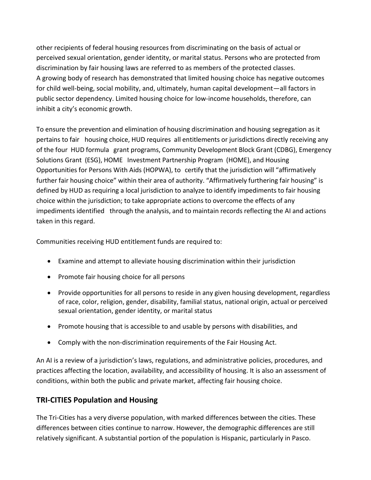other recipients of federal housing resources from discriminating on the basis of actual or perceived sexual orientation, gender identity, or marital status. Persons who are protected from discrimination by fair housing laws are referred to as members of the protected classes. A growing body of research has demonstrated that limited housing choice has negative outcomes for child well-being, social mobility, and, ultimately, human capital development—all factors in public sector dependency. Limited housing choice for low-income households, therefore, can inhibit a city's economic growth.

To ensure the prevention and elimination of housing discrimination and housing segregation as it pertains to fair housing choice, HUD requires all entitlements or jurisdictions directly receiving any of the four HUD formula grant programs, Community Development Block Grant (CDBG), Emergency Solutions Grant (ESG), HOME Investment Partnership Program (HOME), and Housing Opportunities for Persons With Aids (HOPWA), to certify that the jurisdiction will "affirmatively further fair housing choice" within their area of authority. "Affirmatively furthering fair housing" is defined by HUD as requiring a local jurisdiction to analyze to identify impediments to fair housing choice within the jurisdiction; to take appropriate actions to overcome the effects of any impediments identified through the analysis, and to maintain records reflecting the AI and actions taken in this regard.

Communities receiving HUD entitlement funds are required to:

- Examine and attempt to alleviate housing discrimination within their jurisdiction
- Promote fair housing choice for all persons
- Provide opportunities for all persons to reside in any given housing development, regardless of race, color, religion, gender, disability, familial status, national origin, actual or perceived sexual orientation, gender identity, or marital status
- Promote housing that is accessible to and usable by persons with disabilities, and
- Comply with the non-discrimination requirements of the Fair Housing Act.

An AI is a review of a jurisdiction's laws, regulations, and administrative policies, procedures, and practices affecting the location, availability, and accessibility of housing. It is also an assessment of conditions, within both the public and private market, affecting fair housing choice.

# **TRI-CITIES Population and Housing**

The Tri-Cities has a very diverse population, with marked differences between the cities. These differences between cities continue to narrow. However, the demographic differences are still relatively significant. A substantial portion of the population is Hispanic, particularly in Pasco.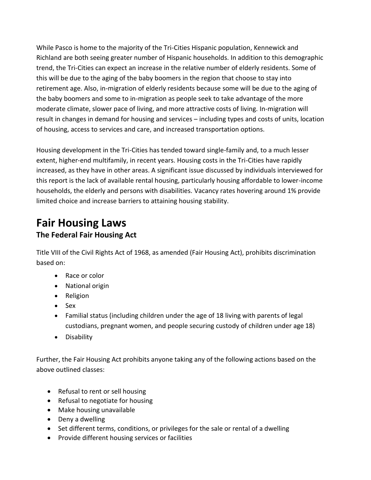While Pasco is home to the majority of the Tri-Cities Hispanic population, Kennewick and Richland are both seeing greater number of Hispanic households. In addition to this demographic trend, the Tri-Cities can expect an increase in the relative number of elderly residents. Some of this will be due to the aging of the baby boomers in the region that choose to stay into retirement age. Also, in-migration of elderly residents because some will be due to the aging of the baby boomers and some to in-migration as people seek to take advantage of the more moderate climate, slower pace of living, and more attractive costs of living. In-migration will result in changes in demand for housing and services – including types and costs of units, location of housing, access to services and care, and increased transportation options.

Housing development in the Tri-Cities has tended toward single-family and, to a much lesser extent, higher-end multifamily, in recent years. Housing costs in the Tri-Cities have rapidly increased, as they have in other areas. A significant issue discussed by individuals interviewed for this report is the lack of available rental housing, particularly housing affordable to lower-income households, the elderly and persons with disabilities. Vacancy rates hovering around 1% provide limited choice and increase barriers to attaining housing stability.

# <span id="page-4-0"></span>**Fair Housing Laws**

# **The Federal Fair Housing Act**

Title VIII of the Civil Rights Act of 1968, as amended (Fair Housing Act), prohibits discrimination based on:

- Race or color
- National origin
- Religion
- Sex
- Familial status (including children under the age of 18 living with parents of legal custodians, pregnant women, and people securing custody of children under age 18)
- Disability

Further, the Fair Housing Act prohibits anyone taking any of the following actions based on the above outlined classes:

- Refusal to rent or sell housing
- Refusal to negotiate for housing
- Make housing unavailable
- Deny a dwelling
- Set different terms, conditions, or privileges for the sale or rental of a dwelling
- Provide different housing services or facilities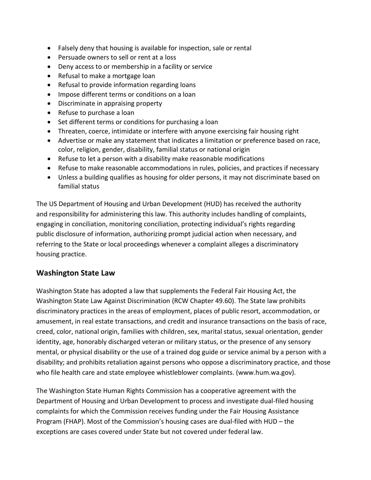- Falsely deny that housing is available for inspection, sale or rental
- Persuade owners to sell or rent at a loss
- Deny access to or membership in a facility or service
- Refusal to make a mortgage loan
- Refusal to provide information regarding loans
- Impose different terms or conditions on a loan
- Discriminate in appraising property
- Refuse to purchase a loan
- Set different terms or conditions for purchasing a loan
- Threaten, coerce, intimidate or interfere with anyone exercising fair housing right
- Advertise or make any statement that indicates a limitation or preference based on race, color, religion, gender, disability, familial status or national origin
- Refuse to let a person with a disability make reasonable modifications
- Refuse to make reasonable accommodations in rules, policies, and practices if necessary
- Unless a building qualifies as housing for older persons, it may not discriminate based on familial status

The US Department of Housing and Urban Development (HUD) has received the authority and responsibility for administering this law. This authority includes handling of complaints, engaging in conciliation, monitoring conciliation, protecting individual's rights regarding public disclosure of information, authorizing prompt judicial action when necessary, and referring to the State or local proceedings whenever a complaint alleges a discriminatory housing practice.

# **Washington State Law**

Washington State has adopted a law that supplements the Federal Fair Housing Act, the Washington State Law Against Discrimination (RCW Chapter 49.60). The State law prohibits discriminatory practices in the areas of employment, places of public resort, accommodation, or amusement, in real estate transactions, and credit and insurance transactions on the basis of race, creed, color, national origin, families with children, sex, marital status, sexual orientation, gender identity, age, honorably discharged veteran or military status, or the presence of any sensory mental, or physical disability or the use of a trained dog guide or service animal by a person with a disability; and prohibits retaliation against persons who oppose a discriminatory practice, and those who file health care and state employee whistleblower complaints. (www.hum.wa.gov).

The Washington State Human Rights Commission has a cooperative agreement with the Department of Housing and Urban Development to process and investigate dual-filed housing complaints for which the Commission receives funding under the Fair Housing Assistance Program (FHAP). Most of the Commission's housing cases are dual-filed with HUD – the exceptions are cases covered under State but not covered under federal law.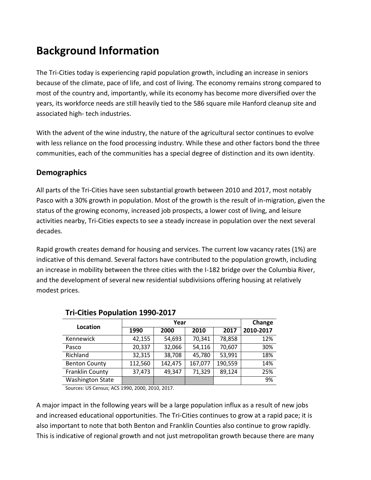# <span id="page-6-0"></span>**Background Information**

The Tri-Cities today is experiencing rapid population growth, including an increase in seniors because of the climate, pace of life, and cost of living. The economy remains strong compared to most of the country and, importantly, while its economy has become more diversified over the years, its workforce needs are still heavily tied to the 586 square mile Hanford cleanup site and associated high- tech industries.

With the advent of the wine industry, the nature of the agricultural sector continues to evolve with less reliance on the food processing industry. While these and other factors bond the three communities, each of the communities has a special degree of distinction and its own identity.

# **Demographics**

All parts of the Tri-Cities have seen substantial growth between 2010 and 2017, most notably Pasco with a 30% growth in population. Most of the growth is the result of in-migration, given the status of the growing economy, increased job prospects, a lower cost of living, and leisure activities nearby, Tri-Cities expects to see a steady increase in population over the next several decades.

Rapid growth creates demand for housing and services. The current low vacancy rates (1%) are indicative of this demand. Several factors have contributed to the population growth, including an increase in mobility between the three cities with the I-182 bridge over the Columbia River, and the development of several new residential subdivisions offering housing at relatively modest prices.

|                         |         | Change  |         |         |           |
|-------------------------|---------|---------|---------|---------|-----------|
| Location                | 1990    | 2000    | 2010    | 2017    | 2010-2017 |
| Kennewick               | 42,155  | 54,693  | 70,341  | 78,858  | 12%       |
| Pasco                   | 20,337  | 32,066  | 54,116  | 70,607  | 30%       |
| Richland                | 32,315  | 38,708  | 45,780  | 53,991  | 18%       |
| <b>Benton County</b>    | 112,560 | 142,475 | 167,077 | 190,559 | 14%       |
| Franklin County         | 37,473  | 49,347  | 71,329  | 89,124  | 25%       |
| <b>Washington State</b> |         |         |         |         | 9%        |

### **Tri-Cities Population 1990-2017**

Sources: US Census; ACS 1990, 2000, 2010, 2017.

A major impact in the following years will be a large population influx as a result of new jobs and increased educational opportunities. The Tri-Cities continues to grow at a rapid pace; it is also important to note that both Benton and Franklin Counties also continue to grow rapidly. This is indicative of regional growth and not just metropolitan growth because there are many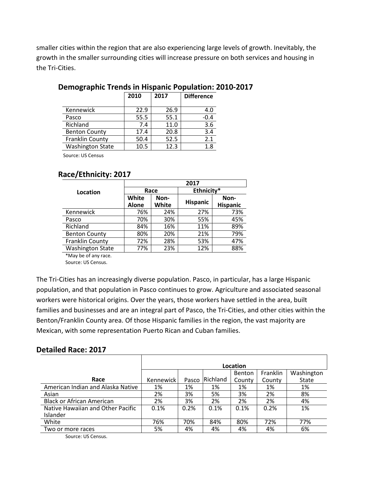smaller cities within the region that are also experiencing large levels of growth. Inevitably, the growth in the smaller surrounding cities will increase pressure on both services and housing in the Tri-Cities.

|                         | 2010 | 2017 | <b>Difference</b> |
|-------------------------|------|------|-------------------|
| Kennewick               | 22.9 | 26.9 | 4.0               |
| Pasco                   | 55.5 | 55.1 | $-0.4$            |
| Richland                | 7.4  | 11.0 | 3.6               |
| <b>Benton County</b>    | 17.4 | 20.8 | 3.4               |
| Franklin County         | 50.4 | 52.5 | 2.1               |
| <b>Washington State</b> | 10.5 | 12.3 | 1.8               |
|                         |      |      |                   |

### **Demographic Trends in Hispanic Population: 2010-2017**

Source: US Census

### **Race/Ethnicity: 2017**

|                         | 2017                  |               |                 |                         |  |  |
|-------------------------|-----------------------|---------------|-----------------|-------------------------|--|--|
| Location                |                       | Race          | Ethnicity*      |                         |  |  |
|                         | White<br><b>Alone</b> | Non-<br>White | <b>Hispanic</b> | Non-<br><b>Hispanic</b> |  |  |
| Kennewick               | 76%                   | 24%           | 27%             | 73%                     |  |  |
| Pasco                   | 70%                   | 30%           | 55%             | 45%                     |  |  |
| Richland                | 84%                   | 16%           | 11%             | 89%                     |  |  |
| <b>Benton County</b>    | 80%                   | 20%           | 21%             | 79%                     |  |  |
| Franklin County         | 72%                   | 28%           | 53%             | 47%                     |  |  |
| <b>Washington State</b> | 77%                   | 23%           | 12%             | 88%                     |  |  |

\*May be of any race. Source: US Census.

The Tri-Cities has an increasingly diverse population. Pasco, in particular, has a large Hispanic population, and that population in Pasco continues to grow. Agriculture and associated seasonal workers were historical origins. Over the years, those workers have settled in the area, built families and businesses and are an integral part of Pasco, the Tri-Cities, and other cities within the Benton/Franklin County area. Of those Hispanic families in the region, the vast majority are Mexican, with some representation Puerto Rican and Cuban families.

### **Detailed Race: 2017**

|                                   | Location    |       |          |        |          |            |
|-----------------------------------|-------------|-------|----------|--------|----------|------------|
|                                   |             |       |          | Benton | Franklin | Washington |
| Race                              | Kennewick I | Pasco | Richland | County | County   | State      |
| American Indian and Alaska Native | 1%          | 1%    | 1%       | 1%     | 1%       | 1%         |
| Asian                             | 2%          | 3%    | 5%       | 3%     | 2%       | 8%         |
| <b>Black or African American</b>  | 2%          | 3%    | 2%       | 2%     | 2%       | 4%         |
| Native Hawaiian and Other Pacific | 0.1%        | 0.2%  | 0.1%     | 0.1%   | 0.2%     | 1%         |
| Islander                          |             |       |          |        |          |            |
| White                             | 76%         | 70%   | 84%      | 80%    | 72%      | 77%        |
| Two or more races                 | 5%          | 4%    | 4%       | 4%     | 4%       | 6%         |

Source: US Census.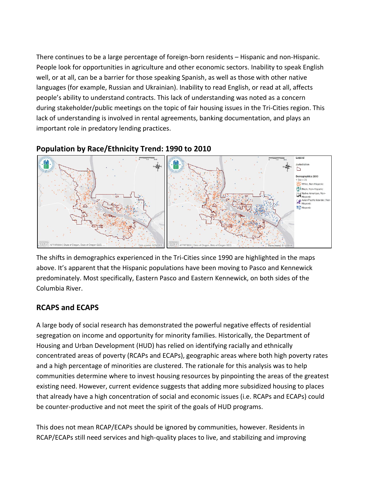There continues to be a large percentage of foreign-born residents – Hispanic and non-Hispanic. People look for opportunities in agriculture and other economic sectors. Inability to speak English well, or at all, can be a barrier for those speaking Spanish, as well as those with other native languages (for example, Russian and Ukrainian). Inability to read English, or read at all, affects people's ability to understand contracts. This lack of understanding was noted as a concern during stakeholder/public meetings on the topic of fair housing issues in the Tri-Cities region. This lack of understanding is involved in rental agreements, banking documentation, and plays an important role in predatory lending practices.

# **Population by Race/Ethnicity Trend: 1990 to 2010**



The shifts in demographics experienced in the Tri-Cities since 1990 are highlighted in the maps above. It's apparent that the Hispanic populations have been moving to Pasco and Kennewick predominately. Most specifically, Eastern Pasco and Eastern Kennewick, on both sides of the Columbia River.

# **RCAPS and ECAPS**

A large body of social research has demonstrated the powerful negative effects of residential segregation on income and opportunity for minority families. Historically, the Department of Housing and Urban Development (HUD) has relied on identifying racially and ethnically concentrated areas of poverty (RCAPs and ECAPs), geographic areas where both high poverty rates and a high percentage of minorities are clustered. The rationale for this analysis was to help communities determine where to invest housing resources by pinpointing the areas of the greatest existing need. However, current evidence suggests that adding more subsidized housing to places that already have a high concentration of social and economic issues (i.e. RCAPs and ECAPs) could be counter-productive and not meet the spirit of the goals of HUD programs.

This does not mean RCAP/ECAPs should be ignored by communities, however. Residents in RCAP/ECAPs still need services and high-quality places to live, and stabilizing and improving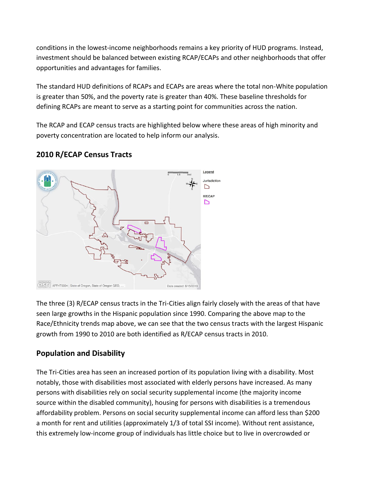conditions in the lowest-income neighborhoods remains a key priority of HUD programs. Instead, investment should be balanced between existing RCAP/ECAPs and other neighborhoods that offer opportunities and advantages for families.

The standard HUD definitions of RCAPs and ECAPs are areas where the total non-White population is greater than 50%, and the poverty rate is greater than 40%. These baseline thresholds for defining RCAPs are meant to serve as a starting point for communities across the nation.

The RCAP and ECAP census tracts are highlighted below where these areas of high minority and poverty concentration are located to help inform our analysis.

# **2010 R/ECAP Census Tracts**



The three (3) R/ECAP census tracts in the Tri-Cities align fairly closely with the areas of that have seen large growths in the Hispanic population since 1990. Comparing the above map to the Race/Ethnicity trends map above, we can see that the two census tracts with the largest Hispanic growth from 1990 to 2010 are both identified as R/ECAP census tracts in 2010.

# **Population and Disability**

The Tri-Cities area has seen an increased portion of its population living with a disability. Most notably, those with disabilities most associated with elderly persons have increased. As many persons with disabilities rely on social security supplemental income (the majority income source within the disabled community), housing for persons with disabilities is a tremendous affordability problem. Persons on social security supplemental income can afford less than \$200 a month for rent and utilities (approximately 1/3 of total SSI income). Without rent assistance, this extremely low-income group of individuals has little choice but to live in overcrowded or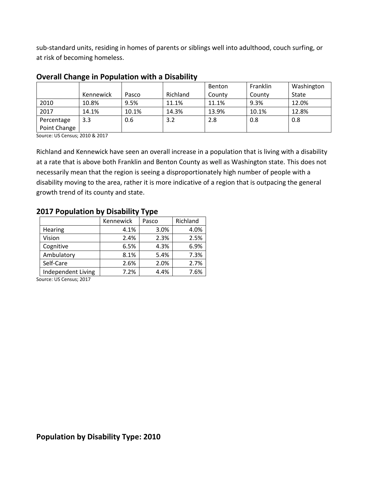sub-standard units, residing in homes of parents or siblings well into adulthood, couch surfing, or at risk of becoming homeless.

|              |           |       |          | Benton | Franklin | Washington |
|--------------|-----------|-------|----------|--------|----------|------------|
|              | Kennewick | Pasco | Richland | County | County   | State      |
| 2010         | 10.8%     | 9.5%  | 11.1%    | 11.1%  | 9.3%     | 12.0%      |
| 2017         | 14.1%     | 10.1% | 14.3%    | 13.9%  | 10.1%    | 12.8%      |
| Percentage   | 3.3       | 0.6   | 3.2      | 2.8    | 0.8      | 0.8        |
| Point Change |           |       |          |        |          |            |

#### **Overall Change in Population with a Disability**

Source: US Census; 2010 & 2017

Richland and Kennewick have seen an overall increase in a population that is living with a disability at a rate that is above both Franklin and Benton County as well as Washington state. This does not necessarily mean that the region is seeing a disproportionately high number of people with a disability moving to the area, rather it is more indicative of a region that is outpacing the general growth trend of its county and state.

#### **2017 Population by Disability Type**

|                    | Kennewick | Pasco | Richland |
|--------------------|-----------|-------|----------|
| Hearing            | 4.1%      | 3.0%  | 4.0%     |
| Vision             | 2.4%      | 2.3%  | 2.5%     |
| Cognitive          | 6.5%      | 4.3%  | 6.9%     |
| Ambulatory         | 8.1%      | 5.4%  | 7.3%     |
| Self-Care          | 2.6%      | 2.0%  | 2.7%     |
| Independent Living | 7.2%      | 4.4%  | 7.6%     |
|                    |           |       |          |

Source: US Census; 2017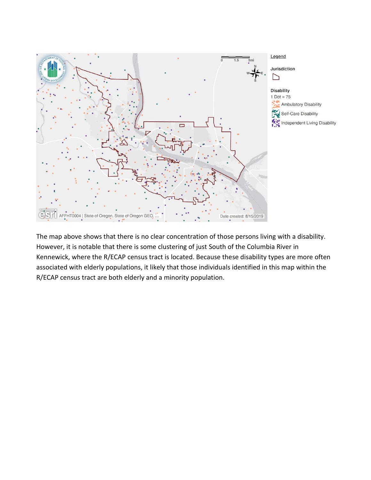

The map above shows that there is no clear concentration of those persons living with a disability. However, it is notable that there is some clustering of just South of the Columbia River in Kennewick, where the R/ECAP census tract is located. Because these disability types are more often associated with elderly populations, it likely that those individuals identified in this map within the R/ECAP census tract are both elderly and a minority population.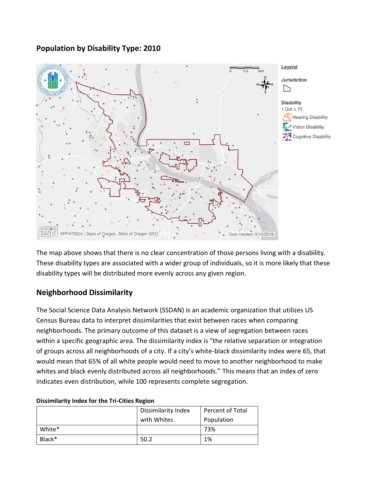**Population by Disability Type: 2010**



The map above shows that there is no clear concentration of those persons living with a disability. These disability types are associated with a wider group of individuals, so it is more likely that these disability types will be distributed more evenly across any given region.

# **Neighborhood Dissimilarity**

The Social Science Data Analysis Network (SSDAN) is an academic organization that utilizes US Census Bureau data to interpret dissimilarities that exist between races when comparing neighborhoods. The primary outcome of this dataset is a view of segregation between races within a specific geographic area. The dissimilarity index is "the relative separation or integration of groups across all neighborhoods of a city. If a city's white-black dissimilarity index were 65, that would mean that 65% of all white people would need to move to another neighborhood to make whites and black evenly distributed across all neighborhoods." This means that an index of zero indicates even distribution, while 100 represents complete segregation.

|        | . .                 |                  |
|--------|---------------------|------------------|
|        | Dissimilarity Index | Percent of Total |
|        | with Whites         | Population       |
| White* |                     | 73%              |
| Black* | 50.2                | 1%               |

#### **Dissimilarity Index for the Tri-Cities Region**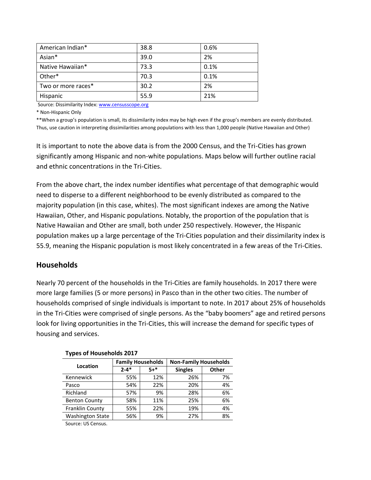| American Indian*   | 38.8 | 0.6% |
|--------------------|------|------|
| Asian*             | 39.0 | 2%   |
| Native Hawaiian*   | 73.3 | 0.1% |
| Other*             | 70.3 | 0.1% |
| Two or more races* | 30.2 | 2%   |
| Hispanic           | 55.9 | 21%  |

Source: Dissimilarity Index[: www.censusscope.org](http://www.censusscope.org/)

\* Non-Hispanic Only

\*\*When a group's population is small, its dissimilarity index may be high even if the group's members are evenly distributed. Thus, use caution in interpreting dissimilarities among populations with less than 1,000 people (Native Hawaiian and Other)

It is important to note the above data is from the 2000 Census, and the Tri-Cities has grown significantly among Hispanic and non-white populations. Maps below will further outline racial and ethnic concentrations in the Tri-Cities.

From the above chart, the index number identifies what percentage of that demographic would need to disperse to a different neighborhood to be evenly distributed as compared to the majority population (in this case, whites). The most significant indexes are among the Native Hawaiian, Other, and Hispanic populations. Notably, the proportion of the population that is Native Hawaiian and Other are small, both under 250 respectively. However, the Hispanic population makes up a large percentage of the Tri-Cities population and their dissimilarity index is 55.9, meaning the Hispanic population is most likely concentrated in a few areas of the Tri-Cities.

### **Households**

Nearly 70 percent of the households in the Tri-Cities are family households. In 2017 there were more large families (5 or more persons) in Pasco than in the other two cities. The number of households comprised of single individuals is important to note. In 2017 about 25% of households in the Tri-Cities were comprised of single persons. As the "baby boomers" age and retired persons look for living opportunities in the Tri-Cities, this will increase the demand for specific types of housing and services.

|                         | <b>Family Households</b> |         | <b>Non-Family Households</b> |              |  |
|-------------------------|--------------------------|---------|------------------------------|--------------|--|
| Location                | $2 - 4*$                 | $5 +$ * | <b>Singles</b>               | <b>Other</b> |  |
| Kennewick               | 55%                      | 12%     | 26%                          | 7%           |  |
| Pasco                   | 54%                      | 22%     | 20%                          | 4%           |  |
| Richland                | 57%                      | 9%      | 28%                          | 6%           |  |
| <b>Benton County</b>    | 58%                      | 11%     | 25%                          | 6%           |  |
| Franklin County         | 55%                      | 22%     | 19%                          | 4%           |  |
| <b>Washington State</b> | 56%                      | 9%      | 27%                          | 8%           |  |

#### **Types of Households 2017**

Source: US Census.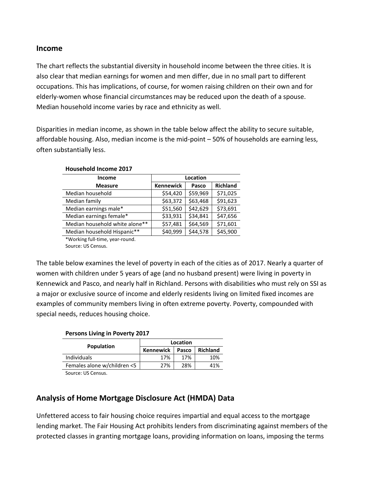### **Income**

The chart reflects the substantial diversity in household income between the three cities. It is also clear that median earnings for women and men differ, due in no small part to different occupations. This has implications, of course, for women raising children on their own and for elderly-women whose financial circumstances may be reduced upon the death of a spouse. Median household income varies by race and ethnicity as well.

Disparities in median income, as shown in the table below affect the ability to secure suitable, affordable housing. Also, median income is the mid-point – 50% of households are earning less, often substantially less.

| <b>Income</b>                  | Location         |          |                 |  |  |
|--------------------------------|------------------|----------|-----------------|--|--|
| <b>Measure</b>                 | <b>Kennewick</b> | Pasco    | <b>Richland</b> |  |  |
| Median household               | \$54,420         | \$59,969 | \$71,025        |  |  |
| Median family                  | \$63,372         | \$63,468 | \$91,623        |  |  |
| Median earnings male*          | \$51,560         | \$42,629 | \$73,691        |  |  |
| Median earnings female*        | \$33,931         | \$34,841 | \$47,656        |  |  |
| Median household white alone** | \$57,481         | \$64,569 | \$71,601        |  |  |
| Median household Hispanic**    | \$40,999         | \$44,578 | \$45,900        |  |  |
| *Working full-time year-round  |                  |          |                 |  |  |

**Household Income 2017**

ie, year-round Source: US Census.

The table below examines the level of poverty in each of the cities as of 2017. Nearly a quarter of women with children under 5 years of age (and no husband present) were living in poverty in Kennewick and Pasco, and nearly half in Richland. Persons with disabilities who must rely on SSI as a major or exclusive source of income and elderly residents living on limited fixed incomes are examples of community members living in often extreme poverty. Poverty, compounded with special needs, reduces housing choice.

#### **Persons Living in Poverty 2017**

| Location                  |     |                 |  |
|---------------------------|-----|-----------------|--|
| <b>Kennewick</b><br>Pasco |     | <b>Richland</b> |  |
| 17%                       | 17% | 10%             |  |
| 27%                       | 28% | 41%             |  |
|                           |     |                 |  |

Source: US Census.

# **Analysis of Home Mortgage Disclosure Act (HMDA) Data**

Unfettered access to fair housing choice requires impartial and equal access to the mortgage lending market. The Fair Housing Act prohibits lenders from discriminating against members of the protected classes in granting mortgage loans, providing information on loans, imposing the terms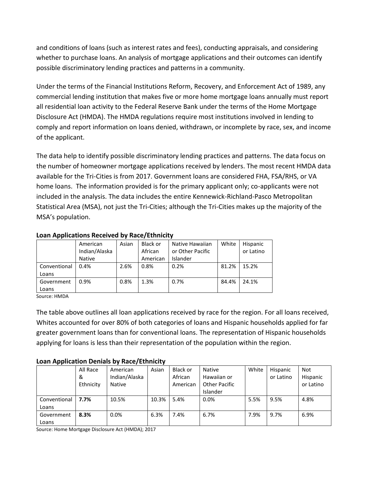and conditions of loans (such as interest rates and fees), conducting appraisals, and considering whether to purchase loans. An analysis of mortgage applications and their outcomes can identify possible discriminatory lending practices and patterns in a community.

Under the terms of the Financial Institutions Reform, Recovery, and Enforcement Act of 1989, any commercial lending institution that makes five or more home mortgage loans annually must report all residential loan activity to the Federal Reserve Bank under the terms of the Home Mortgage Disclosure Act (HMDA). The HMDA regulations require most institutions involved in lending to comply and report information on loans denied, withdrawn, or incomplete by race, sex, and income of the applicant.

The data help to identify possible discriminatory lending practices and patterns. The data focus on the number of homeowner mortgage applications received by lenders. The most recent HMDA data available for the Tri-Cities is from 2017. Government loans are considered FHA, FSA/RHS, or VA home loans. The information provided is for the primary applicant only; co-applicants were not included in the analysis. The data includes the entire Kennewick-Richland-Pasco Metropolitan Statistical Area (MSA), not just the Tri-Cities; although the Tri-Cities makes up the majority of the MSA's population.

| ------- <del>------------------</del><br>. |               |       |          |                  |       |           |  |
|--------------------------------------------|---------------|-------|----------|------------------|-------|-----------|--|
|                                            | American      | Asian | Black or | Native Hawaiian  | White | Hispanic  |  |
|                                            | Indian/Alaska |       | African  | or Other Pacific |       | or Latino |  |
|                                            | <b>Native</b> |       | American | Islander         |       |           |  |
| Conventional                               | 0.4%          | 2.6%  | 0.8%     | 0.2%             | 81.2% | 15.2%     |  |
| Loans                                      |               |       |          |                  |       |           |  |
| Government                                 | $0.9\%$       | 0.8%  | 1.3%     | 0.7%             | 84.4% | 24.1%     |  |
| Loans                                      |               |       |          |                  |       |           |  |

#### **Loan Applications Received by Race/Ethnicity**

Source: HMDA

The table above outlines all loan applications received by race for the region. For all loans received, Whites accounted for over 80% of both categories of loans and Hispanic households applied for far greater government loans than for conventional loans. The representation of Hispanic households applying for loans is less than their representation of the population within the region.

#### **Loan Application Denials by Race/Ethnicity**

|              | All Race  | American      | Asian | Black or | <b>Native</b>        | White | Hispanic  | Not       |
|--------------|-----------|---------------|-------|----------|----------------------|-------|-----------|-----------|
|              | &         | Indian/Alaska |       | African  | Hawaiian or          |       | or Latino | Hispanic  |
|              | Ethnicity | Native        |       | American | <b>Other Pacific</b> |       |           | or Latino |
|              |           |               |       |          | Islander             |       |           |           |
| Conventional | 7.7%      | 10.5%         | 10.3% | 5.4%     | $0.0\%$              | 5.5%  | 9.5%      | 4.8%      |
| Loans        |           |               |       |          |                      |       |           |           |
| Government   | 8.3%      | 0.0%          | 6.3%  | 7.4%     | 6.7%                 | 7.9%  | 9.7%      | 6.9%      |
| Loans        |           |               |       |          |                      |       |           |           |

Source: Home Mortgage Disclosure Act (HMDA); 2017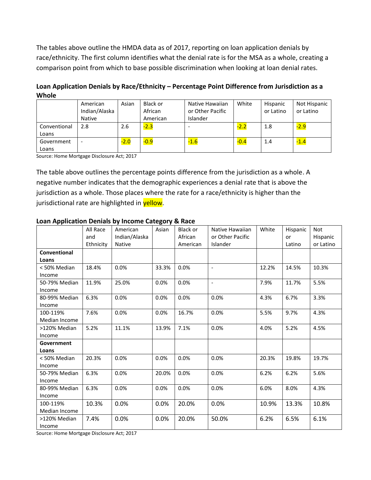The tables above outline the HMDA data as of 2017, reporting on loan application denials by race/ethnicity. The first column identifies what the denial rate is for the MSA as a whole, creating a comparison point from which to base possible discrimination when looking at loan denial rates.

**Loan Application Denials by Race/Ethnicity – Percentage Point Difference from Jurisdiction as a Whole**

|              | American<br>Indian/Alaska<br>Native | Asian  | Black or<br>African<br>American | Native Hawaiian<br>or Other Pacific<br>Islander | White  | Hispanic<br>or Latino | Not Hispanic<br>or Latino |
|--------------|-------------------------------------|--------|---------------------------------|-------------------------------------------------|--------|-----------------------|---------------------------|
| Conventional | 2.8                                 | 2.6    | $-2.3$                          |                                                 | $-2.2$ | 1.8                   | $-2.9$                    |
| Loans        |                                     |        |                                 |                                                 |        |                       |                           |
| Government   |                                     | $-2.0$ | $-0.9$                          | $-1.6$                                          | $-0.4$ | 1.4                   | $-1.4$                    |
| Loans        |                                     |        |                                 |                                                 |        |                       |                           |

Source: Home Mortgage Disclosure Act; 2017

The table above outlines the percentage points difference from the jurisdiction as a whole. A negative number indicates that the demographic experiences a denial rate that is above the jurisdiction as a whole. Those places where the rate for a race/ethnicity is higher than the jurisdictional rate are highlighted in yellow.

| . .           | All Race  | American      | - ت<br>Asian | Black or | Native Hawaiian          | White | Hispanic | <b>Not</b> |
|---------------|-----------|---------------|--------------|----------|--------------------------|-------|----------|------------|
|               | and       | Indian/Alaska |              | African  | or Other Pacific         |       | or       | Hispanic   |
|               | Ethnicity | Native        |              | American | Islander                 |       | Latino   | or Latino  |
| Conventional  |           |               |              |          |                          |       |          |            |
| Loans         |           |               |              |          |                          |       |          |            |
| < 50% Median  | 18.4%     | 0.0%          | 33.3%        | 0.0%     | $\overline{\phantom{a}}$ | 12.2% | 14.5%    | 10.3%      |
| Income        |           |               |              |          |                          |       |          |            |
| 50-79% Median | 11.9%     | 25.0%         | 0.0%         | 0.0%     | $\overline{\phantom{a}}$ | 7.9%  | 11.7%    | 5.5%       |
| Income        |           |               |              |          |                          |       |          |            |
| 80-99% Median | 6.3%      | 0.0%          | 0.0%         | 0.0%     | 0.0%                     | 4.3%  | 6.7%     | 3.3%       |
| Income        |           |               |              |          |                          |       |          |            |
| 100-119%      | 7.6%      | 0.0%          | 0.0%         | 16.7%    | 0.0%                     | 5.5%  | 9.7%     | 4.3%       |
| Median Income |           |               |              |          |                          |       |          |            |
| >120% Median  | 5.2%      | 11.1%         | 13.9%        | 7.1%     | 0.0%                     | 4.0%  | 5.2%     | 4.5%       |
| Income        |           |               |              |          |                          |       |          |            |
| Government    |           |               |              |          |                          |       |          |            |
| Loans         |           |               |              |          |                          |       |          |            |
| < 50% Median  | 20.3%     | 0.0%          | 0.0%         | 0.0%     | 0.0%                     | 20.3% | 19.8%    | 19.7%      |
| Income        |           |               |              |          |                          |       |          |            |
| 50-79% Median | 6.3%      | 0.0%          | 20.0%        | 0.0%     | 0.0%                     | 6.2%  | 6.2%     | 5.6%       |
| Income        |           |               |              |          |                          |       |          |            |
| 80-99% Median | 6.3%      | 0.0%          | 0.0%         | 0.0%     | 0.0%                     | 6.0%  | 8.0%     | 4.3%       |
| Income        |           |               |              |          |                          |       |          |            |
| 100-119%      | 10.3%     | 0.0%          | 0.0%         | 20.0%    | 0.0%                     | 10.9% | 13.3%    | 10.8%      |
| Median Income |           |               |              |          |                          |       |          |            |
| >120% Median  | 7.4%      | 0.0%          | 0.0%         | 20.0%    | 50.0%                    | 6.2%  | 6.5%     | 6.1%       |
| Income        |           |               |              |          |                          |       |          |            |

#### **Loan Application Denials by Income Category & Race**

Source: Home Mortgage Disclosure Act; 2017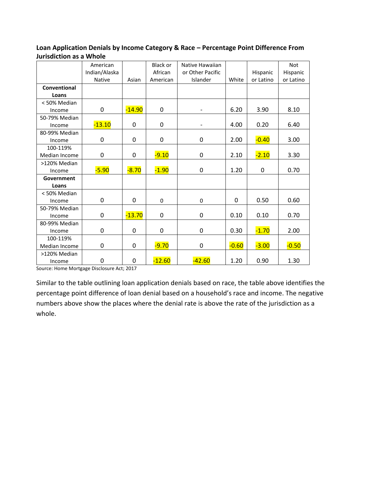#### **Loan Application Denials by Income Category & Race – Percentage Point Difference From Jurisdiction as a Whole**

|               | American      |             | <b>Black or</b>  | Native Hawaiian  |         |             | <b>Not</b> |
|---------------|---------------|-------------|------------------|------------------|---------|-------------|------------|
|               | Indian/Alaska |             | African          | or Other Pacific |         | Hispanic    | Hispanic   |
|               | <b>Native</b> | Asian       | American         | Islander         | White   | or Latino   | or Latino  |
| Conventional  |               |             |                  |                  |         |             |            |
| Loans         |               |             |                  |                  |         |             |            |
| < 50% Median  |               |             |                  |                  |         |             |            |
| Income        | 0             | $-14.90$    | $\boldsymbol{0}$ |                  | 6.20    | 3.90        | 8.10       |
| 50-79% Median |               |             |                  |                  |         |             |            |
| Income        | $-13.10$      | 0           | 0                |                  | 4.00    | 0.20        | 6.40       |
| 80-99% Median |               |             |                  |                  |         |             |            |
| Income        | 0             | 0           | 0                | $\pmb{0}$        | 2.00    | $-0.40$     | 3.00       |
| 100-119%      |               |             |                  |                  |         |             |            |
| Median Income | 0             | 0           | $-9.10$          | 0                | 2.10    | $-2.10$     | 3.30       |
| >120% Median  |               |             |                  |                  |         |             |            |
| Income        | $-5.90$       | $-8.70$     | $-1.90$          | $\mathbf 0$      | 1.20    | $\mathbf 0$ | 0.70       |
| Government    |               |             |                  |                  |         |             |            |
| Loans         |               |             |                  |                  |         |             |            |
| < 50% Median  |               |             |                  |                  |         |             |            |
| Income        | 0             | $\Omega$    | 0                | $\mathbf 0$      | 0       | 0.50        | 0.60       |
| 50-79% Median |               |             |                  |                  |         |             |            |
| Income        | 0             | $-13.70$    | 0                | 0                | 0.10    | 0.10        | 0.70       |
| 80-99% Median |               |             |                  |                  |         |             |            |
| Income        | 0             | 0           | 0                | 0                | 0.30    | $-1.70$     | 2.00       |
| 100-119%      |               |             |                  |                  |         |             |            |
| Median Income | 0             | 0           | $-9.70$          | 0                | $-0.60$ | $-3.00$     | $-0.50$    |
| >120% Median  |               |             |                  |                  |         |             |            |
| Income        | 0             | $\mathbf 0$ | $-12.60$         | $-42.60$         | 1.20    | 0.90        | 1.30       |

Source: Home Mortgage Disclosure Act; 2017

Similar to the table outlining loan application denials based on race, the table above identifies the percentage point difference of loan denial based on a household's race and income. The negative numbers above show the places where the denial rate is above the rate of the jurisdiction as a whole.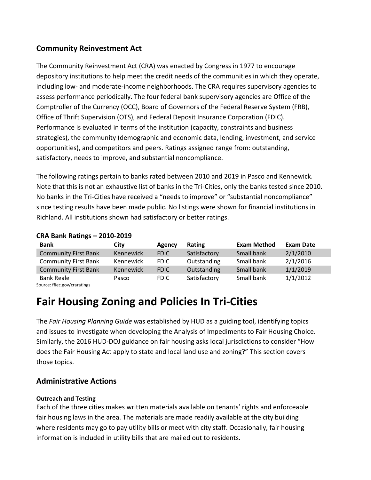### **Community Reinvestment Act**

The Community Reinvestment Act (CRA) was enacted by Congress in 1977 to encourage depository institutions to help meet the credit needs of the communities in which they operate, including low- and moderate-income neighborhoods. The CRA requires supervisory agencies to assess performance periodically. The four federal bank supervisory agencies are Office of the Comptroller of the Currency (OCC), Board of Governors of the Federal Reserve System (FRB), Office of Thrift Supervision (OTS), and Federal Deposit Insurance Corporation (FDIC). Performance is evaluated in terms of the institution (capacity, constraints and business strategies), the community (demographic and economic data, lending, investment, and service opportunities), and competitors and peers. Ratings assigned range from: outstanding, satisfactory, needs to improve, and substantial noncompliance.

The following ratings pertain to banks rated between 2010 and 2019 in Pasco and Kennewick. Note that this is not an exhaustive list of banks in the Tri-Cities, only the banks tested since 2010. No banks in the Tri-Cities have received a "needs to improve" or "substantial noncompliance" since testing results have been made public. No listings were shown for financial institutions in Richland. All institutions shown had satisfactory or better ratings.

#### **CRA Bank Ratings – 2010-2019**

| <b>Bank</b>                  | City      | Agency      | Rating       | <b>Exam Method</b> | <b>Exam Date</b> |
|------------------------------|-----------|-------------|--------------|--------------------|------------------|
| <b>Community First Bank</b>  | Kennewick | <b>FDIC</b> | Satisfactory | Small bank         | 2/1/2010         |
| <b>Community First Bank</b>  | Kennewick | <b>FDIC</b> | Outstanding  | Small bank         | 2/1/2016         |
| <b>Community First Bank</b>  | Kennewick | <b>FDIC</b> | Outstanding  | Small bank         | 1/1/2019         |
| <b>Bank Reale</b>            | Pasco     | <b>FDIC</b> | Satisfactory | Small bank         | 1/1/2012         |
| Carrosa, Marian, Jamesattana |           |             |              |                    |                  |

Source: ffiec.gov/craratings

# <span id="page-18-0"></span>**Fair Housing Zoning and Policies In Tri-Cities**

The *Fair Housing Planning Guide* was established by HUD as a guiding tool, identifying topics and issues to investigate when developing the Analysis of Impediments to Fair Housing Choice. Similarly, the 2016 HUD-DOJ guidance on fair housing asks local jurisdictions to consider "How does the Fair Housing Act apply to state and local land use and zoning?" This section covers those topics.

### **Administrative Actions**

#### **Outreach and Testing**

Each of the three cities makes written materials available on tenants' rights and enforceable fair housing laws in the area. The materials are made readily available at the city building where residents may go to pay utility bills or meet with city staff. Occasionally, fair housing information is included in utility bills that are mailed out to residents.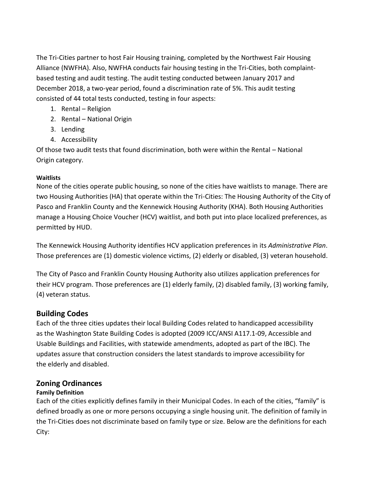The Tri-Cities partner to host Fair Housing training, completed by the Northwest Fair Housing Alliance (NWFHA). Also, NWFHA conducts fair housing testing in the Tri-Cities, both complaintbased testing and audit testing. The audit testing conducted between January 2017 and December 2018, a two-year period, found a discrimination rate of 5%. This audit testing consisted of 44 total tests conducted, testing in four aspects:

- 1. Rental Religion
- 2. Rental National Origin
- 3. Lending
- 4. Accessibility

Of those two audit tests that found discrimination, both were within the Rental – National Origin category.

#### **Waitlists**

None of the cities operate public housing, so none of the cities have waitlists to manage. There are two Housing Authorities (HA) that operate within the Tri-Cities: The Housing Authority of the City of Pasco and Franklin County and the Kennewick Housing Authority (KHA). Both Housing Authorities manage a Housing Choice Voucher (HCV) waitlist, and both put into place localized preferences, as permitted by HUD.

The Kennewick Housing Authority identifies HCV application preferences in its *Administrative Plan*. Those preferences are (1) domestic violence victims, (2) elderly or disabled, (3) veteran household.

The City of Pasco and Franklin County Housing Authority also utilizes application preferences for their HCV program. Those preferences are (1) elderly family, (2) disabled family, (3) working family, (4) veteran status.

#### **Building Codes**

Each of the three cities updates their local Building Codes related to handicapped accessibility as the Washington State Building Codes is adopted (2009 ICC/ANSI A117.1-09, Accessible and Usable Buildings and Facilities, with statewide amendments, adopted as part of the IBC). The updates assure that construction considers the latest standards to improve accessibility for the elderly and disabled.

#### **Zoning Ordinances**

#### **Family Definition**

Each of the cities explicitly defines family in their Municipal Codes. In each of the cities, "family" is defined broadly as one or more persons occupying a single housing unit. The definition of family in the Tri-Cities does not discriminate based on family type or size. Below are the definitions for each City: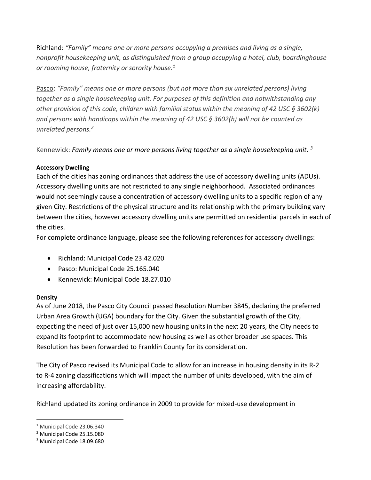Richland: *"Family" means one or more persons occupying a premises and living as a single, nonprofit housekeeping unit, as distinguished from a group occupying a hotel, club, boardinghouse or rooming house, fraternity or sorority house.<sup>1</sup>*

Pasco: *"Family" means one or more persons (but not more than six unrelated persons) living together as a single housekeeping unit. For purposes of this definition and notwithstanding any other provision of this code, children with familial status within the meaning of 42 USC § 3602(k) and persons with handicaps within the meaning of 42 USC § 3602(h) will not be counted as unrelated persons.<sup>2</sup>*

Kennewick: *Family means one or more persons living together as a single housekeeping unit. 3*

### **Accessory Dwelling**

Each of the cities has zoning ordinances that address the use of accessory dwelling units (ADUs). Accessory dwelling units are not restricted to any single neighborhood. Associated ordinances would not seemingly cause a concentration of accessory dwelling units to a specific region of any given City. Restrictions of the physical structure and its relationship with the primary building vary between the cities, however accessory dwelling units are permitted on residential parcels in each of the cities.

For complete ordinance language, please see the following references for accessory dwellings:

- Richland: Municipal Code 23.42.020
- Pasco: Municipal Code 25.165.040
- Kennewick: Municipal Code 18.27.010

### **Density**

 $\overline{a}$ 

As of June 2018, the Pasco City Council passed Resolution Number 3845, declaring the preferred Urban Area Growth (UGA) boundary for the City. Given the substantial growth of the City, expecting the need of just over 15,000 new housing units in the next 20 years, the City needs to expand its footprint to accommodate new housing as well as other broader use spaces. This Resolution has been forwarded to Franklin County for its consideration.

The City of Pasco revised its Municipal Code to allow for an increase in housing density in its R-2 to R-4 zoning classifications which will impact the number of units developed, with the aim of increasing affordability.

Richland updated its zoning ordinance in 2009 to provide for mixed-use development in

<sup>1</sup> Municipal Code 23.06.340

<sup>2</sup> Municipal Code 25.15.080

<sup>3</sup> Municipal Code 18.09.680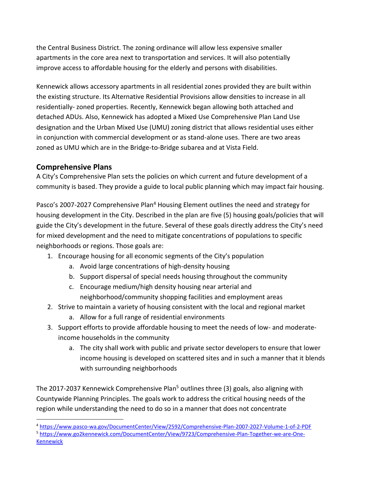the Central Business District. The zoning ordinance will allow less expensive smaller apartments in the core area next to transportation and services. It will also potentially improve access to affordable housing for the elderly and persons with disabilities.

Kennewick allows accessory apartments in all residential zones provided they are built within the existing structure. Its Alternative Residential Provisions allow densities to increase in all residentially- zoned properties. Recently, Kennewick began allowing both attached and detached ADUs. Also, Kennewick has adopted a Mixed Use Comprehensive Plan Land Use designation and the Urban Mixed Use (UMU) zoning district that allows residential uses either in conjunction with commercial development or as stand-alone uses. There are two areas zoned as UMU which are in the Bridge-to-Bridge subarea and at Vista Field.

# **Comprehensive Plans**

 $\overline{a}$ 

A City's Comprehensive Plan sets the policies on which current and future development of a community is based. They provide a guide to local public planning which may impact fair housing.

Pasco's 2007-2027 Comprehensive Plan<sup>4</sup> Housing Element outlines the need and strategy for housing development in the City. Described in the plan are five (5) housing goals/policies that will guide the City's development in the future. Several of these goals directly address the City's need for mixed development and the need to mitigate concentrations of populations to specific neighborhoods or regions. Those goals are:

- 1. Encourage housing for all economic segments of the City's population
	- a. Avoid large concentrations of high-density housing
	- b. Support dispersal of special needs housing throughout the community
	- c. Encourage medium/high density housing near arterial and neighborhood/community shopping facilities and employment areas
- 2. Strive to maintain a variety of housing consistent with the local and regional market
	- a. Allow for a full range of residential environments
- 3. Support efforts to provide affordable housing to meet the needs of low- and moderateincome households in the community
	- a. The city shall work with public and private sector developers to ensure that lower income housing is developed on scattered sites and in such a manner that it blends with surrounding neighborhoods

The 2017-2037 Kennewick Comprehensive Plan<sup>5</sup> outlines three (3) goals, also aligning with Countywide Planning Principles. The goals work to address the critical housing needs of the region while understanding the need to do so in a manner that does not concentrate

<sup>4</sup> <https://www.pasco-wa.gov/DocumentCenter/View/2592/Comprehensive-Plan-2007-2027-Volume-1-of-2-PDF>

<sup>5</sup> [https://www.go2kennewick.com/DocumentCenter/View/9723/Comprehensive-Plan-Together-we-are-One-](https://www.go2kennewick.com/DocumentCenter/View/9723/Comprehensive-Plan-Together-we-are-One-Kennewick)[Kennewick](https://www.go2kennewick.com/DocumentCenter/View/9723/Comprehensive-Plan-Together-we-are-One-Kennewick)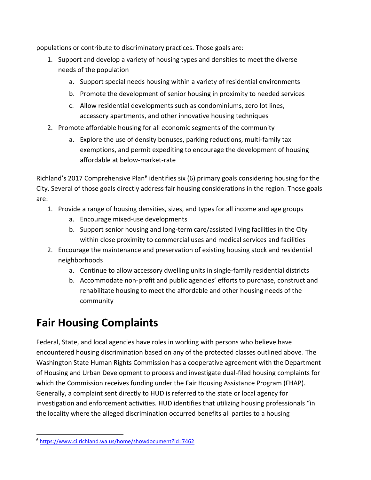populations or contribute to discriminatory practices. Those goals are:

- 1. Support and develop a variety of housing types and densities to meet the diverse needs of the population
	- a. Support special needs housing within a variety of residential environments
	- b. Promote the development of senior housing in proximity to needed services
	- c. Allow residential developments such as condominiums, zero lot lines, accessory apartments, and other innovative housing techniques
- 2. Promote affordable housing for all economic segments of the community
	- a. Explore the use of density bonuses, parking reductions, multi-family tax exemptions, and permit expediting to encourage the development of housing affordable at below-market-rate

Richland's 2017 Comprehensive Plan<sup>6</sup> identifies six (6) primary goals considering housing for the City. Several of those goals directly address fair housing considerations in the region. Those goals are:

- 1. Provide a range of housing densities, sizes, and types for all income and age groups
	- a. Encourage mixed-use developments
	- b. Support senior housing and long-term care/assisted living facilities in the City within close proximity to commercial uses and medical services and facilities
- 2. Encourage the maintenance and preservation of existing housing stock and residential neighborhoods
	- a. Continue to allow accessory dwelling units in single-family residential districts
	- b. Accommodate non-profit and public agencies' efforts to purchase, construct and rehabilitate housing to meet the affordable and other housing needs of the community

# <span id="page-22-0"></span>**Fair Housing Complaints**

Federal, State, and local agencies have roles in working with persons who believe have encountered housing discrimination based on any of the protected classes outlined above. The Washington State Human Rights Commission has a cooperative agreement with the Department of Housing and Urban Development to process and investigate dual-filed housing complaints for which the Commission receives funding under the Fair Housing Assistance Program (FHAP). Generally, a complaint sent directly to HUD is referred to the state or local agency for investigation and enforcement activities. HUD identifies that utilizing housing professionals "in the locality where the alleged discrimination occurred benefits all parties to a housing

l <sup>6</sup> <https://www.ci.richland.wa.us/home/showdocument?id=7462>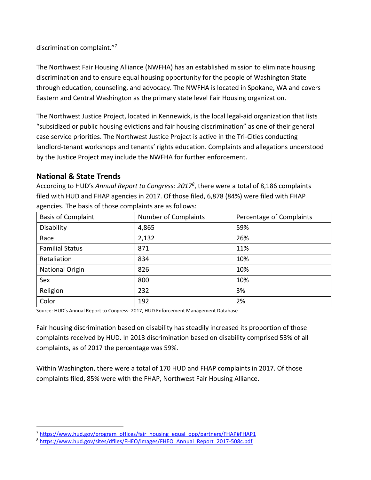discrimination complaint."<sup>7</sup>

The Northwest Fair Housing Alliance (NWFHA) has an established mission to eliminate housing discrimination and to ensure equal housing opportunity for the people of Washington State through education, counseling, and advocacy. The NWFHA is located in Spokane, WA and covers Eastern and Central Washington as the primary state level Fair Housing organization.

The Northwest Justice Project, located in Kennewick, is the local legal-aid organization that lists "subsidized or public housing evictions and fair housing discrimination" as one of their general case service priorities. The Northwest Justice Project is active in the Tri-Cities conducting landlord-tenant workshops and tenants' rights education. Complaints and allegations understood by the Justice Project may include the NWFHA for further enforcement.

### **National & State Trends**

 $\overline{\phantom{a}}$ 

According to HUD's *Annual Report to Congress: 2017<sup>8</sup>* , there were a total of 8,186 complaints filed with HUD and FHAP agencies in 2017. Of those filed, 6,878 (84%) were filed with FHAP agencies. The basis of those complaints are as follows:

| <b>Basis of Complaint</b> | Number of Complaints | Percentage of Complaints |
|---------------------------|----------------------|--------------------------|
| Disability                | 4,865                | 59%                      |
| Race                      | 2,132                | 26%                      |
| <b>Familial Status</b>    | 871                  | 11%                      |
| Retaliation               | 834                  | 10%                      |
| <b>National Origin</b>    | 826                  | 10%                      |
| Sex                       | 800                  | 10%                      |
| Religion                  | 232                  | 3%                       |
| Color                     | 192                  | 2%                       |

Source: HUD's Annual Report to Congress: 2017, HUD Enforcement Management Database

Fair housing discrimination based on disability has steadily increased its proportion of those complaints received by HUD. In 2013 discrimination based on disability comprised 53% of all complaints, as of 2017 the percentage was 59%.

Within Washington, there were a total of 170 HUD and FHAP complaints in 2017. Of those complaints filed, 85% were with the FHAP, Northwest Fair Housing Alliance.

<sup>&</sup>lt;sup>7</sup> [https://www.hud.gov/program\\_offices/fair\\_housing\\_equal\\_opp/partners/FHAP#FHAP1](https://www.hud.gov/program_offices/fair_housing_equal_opp/partners/FHAP#FHAP1)

<sup>8</sup> [https://www.hud.gov/sites/dfiles/FHEO/images/FHEO\\_Annual\\_Report\\_2017-508c.pdf](https://www.hud.gov/sites/dfiles/FHEO/images/FHEO_Annual_Report_2017-508c.pdf)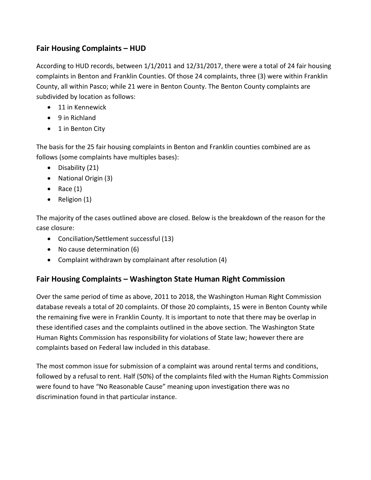# **Fair Housing Complaints – HUD**

According to HUD records, between 1/1/2011 and 12/31/2017, there were a total of 24 fair housing complaints in Benton and Franklin Counties. Of those 24 complaints, three (3) were within Franklin County, all within Pasco; while 21 were in Benton County. The Benton County complaints are subdivided by location as follows:

- 11 in Kennewick
- 9 in Richland
- 1 in Benton City

The basis for the 25 fair housing complaints in Benton and Franklin counties combined are as follows (some complaints have multiples bases):

- Disability (21)
- National Origin (3)
- Race  $(1)$
- Religion  $(1)$

The majority of the cases outlined above are closed. Below is the breakdown of the reason for the case closure:

- Conciliation/Settlement successful (13)
- No cause determination (6)
- Complaint withdrawn by complainant after resolution (4)

# **Fair Housing Complaints – Washington State Human Right Commission**

Over the same period of time as above, 2011 to 2018, the Washington Human Right Commission database reveals a total of 20 complaints. Of those 20 complaints, 15 were in Benton County while the remaining five were in Franklin County. It is important to note that there may be overlap in these identified cases and the complaints outlined in the above section. The Washington State Human Rights Commission has responsibility for violations of State law; however there are complaints based on Federal law included in this database.

The most common issue for submission of a complaint was around rental terms and conditions, followed by a refusal to rent. Half (50%) of the complaints filed with the Human Rights Commission were found to have "No Reasonable Cause" meaning upon investigation there was no discrimination found in that particular instance.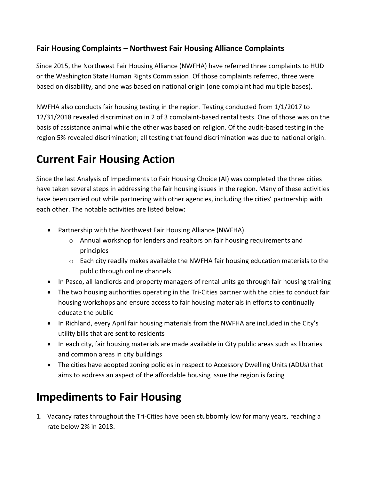# **Fair Housing Complaints – Northwest Fair Housing Alliance Complaints**

Since 2015, the Northwest Fair Housing Alliance (NWFHA) have referred three complaints to HUD or the Washington State Human Rights Commission. Of those complaints referred, three were based on disability, and one was based on national origin (one complaint had multiple bases).

NWFHA also conducts fair housing testing in the region. Testing conducted from 1/1/2017 to 12/31/2018 revealed discrimination in 2 of 3 complaint-based rental tests. One of those was on the basis of assistance animal while the other was based on religion. Of the audit-based testing in the region 5% revealed discrimination; all testing that found discrimination was due to national origin.

# <span id="page-25-0"></span>**Current Fair Housing Action**

Since the last Analysis of Impediments to Fair Housing Choice (AI) was completed the three cities have taken several steps in addressing the fair housing issues in the region. Many of these activities have been carried out while partnering with other agencies, including the cities' partnership with each other. The notable activities are listed below:

- Partnership with the Northwest Fair Housing Alliance (NWFHA)
	- o Annual workshop for lenders and realtors on fair housing requirements and principles
	- o Each city readily makes available the NWFHA fair housing education materials to the public through online channels
- In Pasco, all landlords and property managers of rental units go through fair housing training
- The two housing authorities operating in the Tri-Cities partner with the cities to conduct fair housing workshops and ensure access to fair housing materials in efforts to continually educate the public
- In Richland, every April fair housing materials from the NWFHA are included in the City's utility bills that are sent to residents
- In each city, fair housing materials are made available in City public areas such as libraries and common areas in city buildings
- The cities have adopted zoning policies in respect to Accessory Dwelling Units (ADUs) that aims to address an aspect of the affordable housing issue the region is facing

# **Impediments to Fair Housing**

1. Vacancy rates throughout the Tri-Cities have been stubbornly low for many years, reaching a rate below 2% in 2018.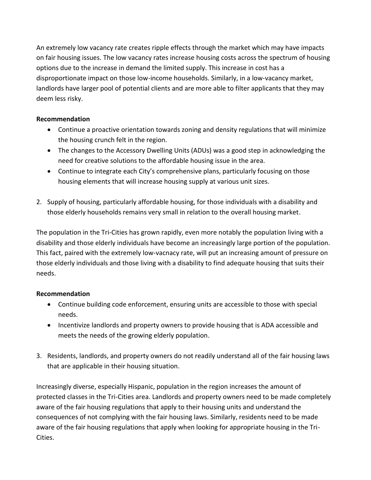An extremely low vacancy rate creates ripple effects through the market which may have impacts on fair housing issues. The low vacancy rates increase housing costs across the spectrum of housing options due to the increase in demand the limited supply. This increase in cost has a disproportionate impact on those low-income households. Similarly, in a low-vacancy market, landlords have larger pool of potential clients and are more able to filter applicants that they may deem less risky.

#### **Recommendation**

- Continue a proactive orientation towards zoning and density regulations that will minimize the housing crunch felt in the region.
- The changes to the Accessory Dwelling Units (ADUs) was a good step in acknowledging the need for creative solutions to the affordable housing issue in the area.
- Continue to integrate each City's comprehensive plans, particularly focusing on those housing elements that will increase housing supply at various unit sizes.
- 2. Supply of housing, particularly affordable housing, for those individuals with a disability and those elderly households remains very small in relation to the overall housing market.

The population in the Tri-Cities has grown rapidly, even more notably the population living with a disability and those elderly individuals have become an increasingly large portion of the population. This fact, paired with the extremely low-vacnacy rate, will put an increasing amount of pressure on those elderly individuals and those living with a disability to find adequate housing that suits their needs.

#### **Recommendation**

- Continue building code enforcement, ensuring units are accessible to those with special needs.
- Incentivize landlords and property owners to provide housing that is ADA accessible and meets the needs of the growing elderly population.
- 3. Residents, landlords, and property owners do not readily understand all of the fair housing laws that are applicable in their housing situation.

Increasingly diverse, especially Hispanic, population in the region increases the amount of protected classes in the Tri-Cities area. Landlords and property owners need to be made completely aware of the fair housing regulations that apply to their housing units and understand the consequences of not complying with the fair housing laws. Similarly, residents need to be made aware of the fair housing regulations that apply when looking for appropriate housing in the Tri-Cities.